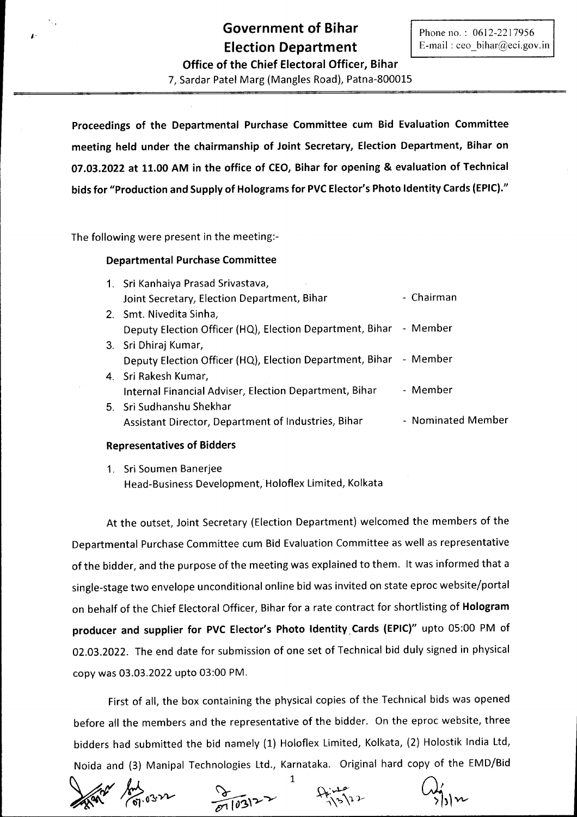**Office of the Chief Electoral Officer, Bihar** 7, Sardar Patel Marg (Mangles Road), Patna-800015

**Proceedings of the Departmental Purchase Committee cum Bid Evaluation Committee meeting held under the chairmanship of Joint Secretary, Election Department, Bihar on 07.03.2022 at 11.00 AM in the office of CEO, Bihar for opening & evaluation of Technical bids for "Production and Supply of Holograms for PVCElector's Photo Identity Cards (EPIC)."**

The following were present in the meeting:-

# **Departmental Purchase Committee**

| 1. Sri Kanhaiya Prasad Srivastava,                                |                    |
|-------------------------------------------------------------------|--------------------|
| Joint Secretary, Election Department, Bihar                       | - Chairman         |
| 2. Smt. Nivedita Sinha,                                           |                    |
| Deputy Election Officer (HQ), Election Department, Bihar - Member |                    |
| 3. Sri Dhiraj Kumar,                                              |                    |
| Deputy Election Officer (HQ), Election Department, Bihar - Member |                    |
| 4. Sri Rakesh Kumar,                                              |                    |
| Internal Financial Adviser, Election Department, Bihar            | - Member           |
| 5. Sri Sudhanshu Shekhar                                          |                    |
| Assistant Director, Department of Industries, Bihar               | - Nominated Member |

### **Representatives of Bidders**

1. Sri Soumen Banerjee Head-Business Development, Holoflex Limited, Kolkata

At the outset, Joint Secretary (Election Department) welcomed the members of the Departmental Purchase Committee cum Bid Evaluation Committee as well as representative of the bidder, and the purpose of the meeting was explained to them. It was informed that a single-stage two envelope unconditional online bid was invited on state eproc website/portal on behalf of the Chief Electoral Officer, Bihar for a rate contract for shortlisting of **Hologram producer and supplier for PVC Elector's Photo Identity. Cards (EPIC)"** upto 05:00 PM of 02.03.2022. The end date for submission of one set of Technical bid duly signed in physical copy was 03.03.2022 upto 03:00 PM.

First of all, the box containing the physical copies of the Technical bids was opened before all the members and the representative of the bidder. On the eproc website, three bidders had submitted the bid namely (1) Holoflex Limited, Kolkata, (2) Holostik India Ltd, Noida and (3) Manipal Technologies Ltd., Karnataka. Original hard copy of the EMD/Bid

1



 $\sqrt{103}$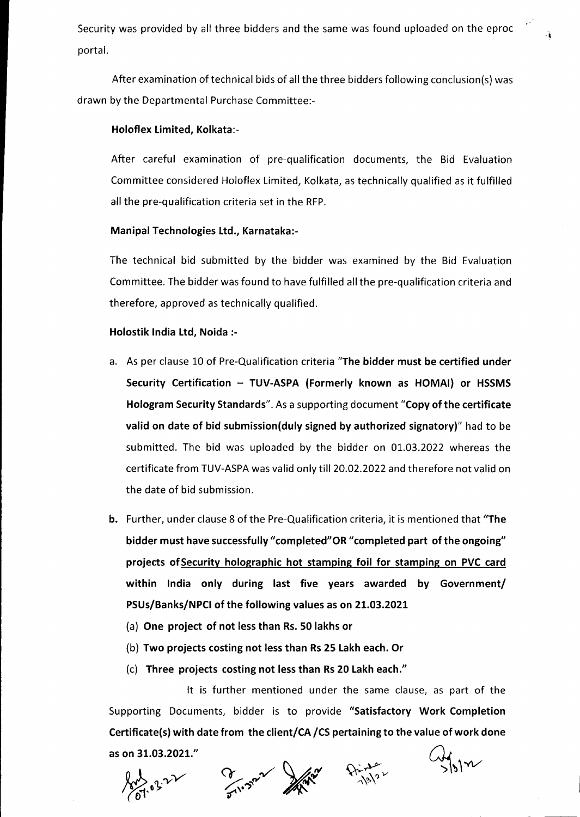Security was provided by all three bidders and the same was found uploaded on the eproc portal.

After examination oftechnical bids of all the three bidders following conclusion(s) was drawn by the Departmental Purchase Committee:-

### Holoflex Limited, Kolkata:-

After careful examination of pre-qualification documents, the Bid Evaluation Committee considered Holoflex Limited, Kolkata, as technically qualified as it fulfilled all the pre-qualification criteria set in the RFP.

### Manipal Technologies Ltd., Karnataka:-

The technical bid submitted by the bidder was examined by the Bid Evaluation Committee. The bidder was found to have fulfilled all the pre-qualification criteria and therefore, approved as technically qualified.

# Holostik India Ltd, Noida :-

- a. As per clause 10 of Pre-Qualification criteria "The bidder must be certified under Security Certification - TUV-ASPA (Formerly known as HOMAI) or HSSMS Hologram Security Standards". As a supporting document "Copy of the certificate valid on date of bid submission(duly signed by authorized signatory)" had to be submitted. The bid was uploaded by the bidder on 01.03.2022 whereas the certificate from TUV-ASPAwas valid only till 20.02.2022 and therefore not valid on the date of bid submission.
- b. Further, under clause 8 of the Pre-Qualification criteria, it is mentioned that "The bidder must have successfully"completed"OR "completed part of the ongoing" projects of Security holographic hot stamping foil for stamping on PVC card within India only during last five years awarded by Government/ PSUs/Banks/NPCI of the following values as on 21.03.2021
	- (a) One project of not lessthan Rs.50 lakhs or
	- (b) Two projects costing not less than Rs 25 Lakh each. Or
	- (c) Three projects costing not lessthan Rs20 Lakheach."

It is further mentioned under the same clause, as part of the Supporting Documents, bidder is to provide "Satisfactory Work Completion Certificate(s) with date from the client/CA /CS pertaining to the value of work done as on 31.03.2021."



 $M_{\rm M}$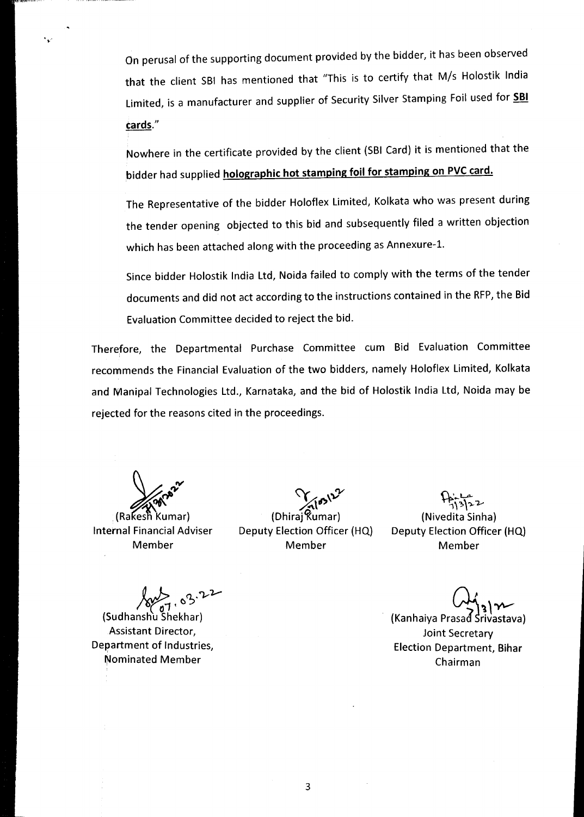On perusal of the supporting document provided by the bidder, it has been observed that the client SBI has mentioned that "This is to certify that *Mis* Holostik India Limited, is a manufacturer and supplier of Security Silver Stamping Foil used for **5BI** *¢ards."*

Nowhere in the certificate provided by the client (SBICard) it is mentioned that the bidder had supplied **holographic hot stamping foil for stamping on PVC card.**

The Representative of the bidder Holoflex Limited, Kolkata who was present during the tender opening objected to this bid and subsequently filed a written objection which has been attached along with the proceeding as Annexure-1.

Since bidder Holostik India Ltd, Noida failed to comply with the terms of the tender documents and did not act according to the instructions contained in the RFP, the Bid Evaluation Committee decided to reject the bid.

Therefore, the Departmental Purchase Committee cum Bid Evaluation Committee recommends the Financial Evaluation of the two bidders, namely Holoflex Limited, Kolkata and Manipal Technologies Ltd., Karnataka, and the bid of Holostik India Ltd, Noida may be rejected for the reasons cited in the proceedings.

 $\mathcal{L}$ 

(Rakesh Kumar) Internal Financial Adviser Member

*~i)'V* (Dhiraj Kumar)

Deputy Election Officer (HQ) Member

~U>-  $\frac{16.562}{13122}$ (Nivedita Sinha)

Deputy Election Officer (HQ) Member

 $\sqrt{108}$   $\frac{22}{10}$ 

*l~ro\_7·* (SudhanshuShekhar) Assistant Director, Department of Industries, Nominated Member

*~,oyv-* (Kanhaiya Prasad Srivastava)

Joint Secretary Election Department, **Bihar** Chairman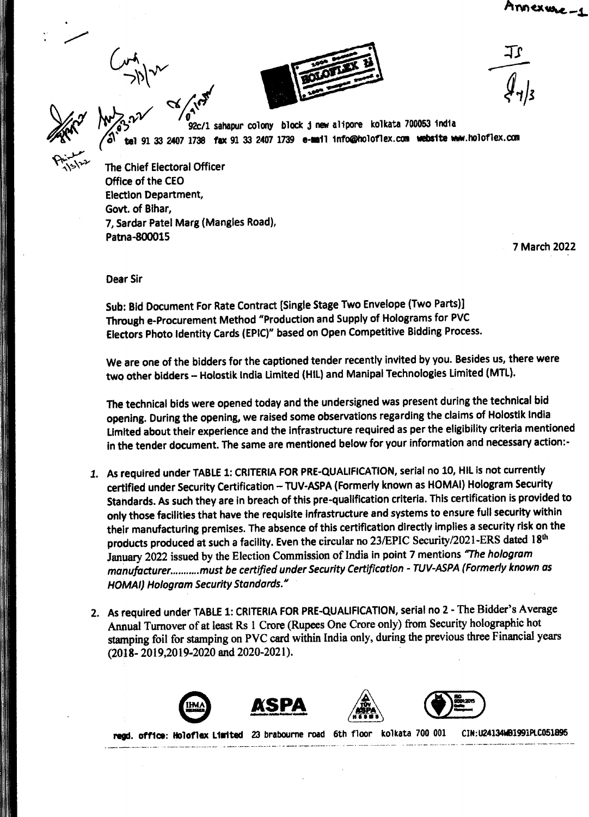*c-,\,)\..JV*



 $\sim$   $\frac{d}{dt}$ ~'lI /0" *".) 92c/l* sahapur colony block <sup>j</sup> new alipore kolkata <sup>700053</sup> india 91 33 2407 1738 fax 91 33 2407 1739 e-mail info@holoflex.com website www.holoflex.com

The Chief Electoral Officer Office of the CEO Election Department, Govt. of Bihar, 7, sardar Patel Marg (Mangles Road), Patna-800015

7 March 2022

Dear Sir

Sub: Bid Document For Rate Contract [Single Stage Two Envelope (Two Parts)) Through e-Procurement Method "Production and Supply of Holograms for PVC Electors Photo Identity Cards (EPIC)" based on Open Competitive Bidding Process.

We are one of the bidders for the captioned tender recently invited by you. Besides us, there were two other bidders - Holostik India Limited (HIL) and Manipal Technologies Limited (MTL).

The technical bids were opened today and the undersigned was present during the technical bid opening. During the opening, we raised some observations regarding the claims of Holostik India limited about their experience and the infrastructure required as per the eligibility criteria mentioned in the tender document. The same are mentioned below for your information and necessary action:-

- 1. As required under TABLE 1: CRITERIA FOR PRE-QUALIFICATION, serial no 10, HIL is not currently certified under Security Certification - TUV-ASPA (Formerly known as HOMAI) Hologram Security Standards. As such they are in breach of this pre-qualification criteria. This certification is provided to only those facilities that have the requisite infrastructure and systems to ensure full security within their manufacturing premises. The absence of this certification directly implies a security risk on the products produced at such a facility. Even the circular no 23/EPIC Security/2021-ERS dated 18th January 2022 issued by the Election Commission of India in point 7 mentions '7he *hologram manu/acturer must be certified under Security Certification - TUV-ASPA(Formerly known as HOMAI) Hologram Security Standards. <sup>N</sup>*
- 2. As required under TABLE 1: CRITERIA FOR PRE-QUALIFICATION, serial no 2 The Bidder's Average Annual Turnover of at least Rs 1 Crore (Rupees One Crore only) from Security holographic hot stamping foil for stamping on PVC card within India only, during the previous three Financial years (2018- 2019,2019-2020 and 2020-2021).









.... office: 1101011. L111'1ted23 braboUrne road 6th floor koU:ata 700 001 CIN;U24l34WB1991PlCOSl895 -\_- .--.---\_.-.\_- .-.'-'--'-'---"-"""'---~~- - \_\_ ,..\_-\_.\_-\_.\_----\_ -..,\_\_ .\_.\_-\_.\_--\_.\_-'.-- .. -. -\_ ..--...-\_.\_-\_-.\_. - --- \_-\_- \_-\_ -\_ ..--' .\_ \_..\_.----\_.\_-----\_ ..\_------- ----..-...------